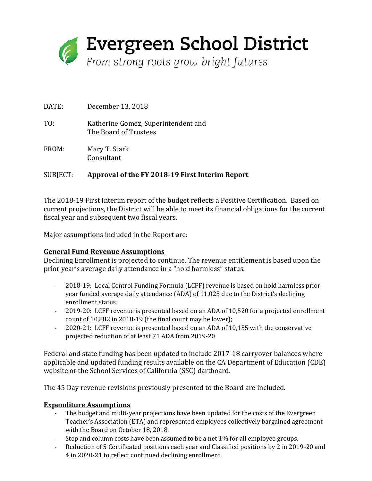

DATE: December 13, 2018 TO: Katherine Gomez, Superintendent and The Board of Trustees FROM: Mary T. Stark Consultant

## SUBJECT: **Approval of the FY 2018-19 First Interim Report**

The 2018-19 First Interim report of the budget reflects a Positive Certification. Based on current projections, the District will be able to meet its financial obligations for the current fiscal year and subsequent two fiscal years.

Major assumptions included in the Report are:

## **General Fund Revenue Assumptions**

Declining Enrollment is projected to continue. The revenue entitlement is based upon the prior year's average daily attendance in a "hold harmless" status.

- 2018-19: Local Control Funding Formula (LCFF) revenue is based on hold harmless prior year funded average daily attendance (ADA) of 11,025 due to the District's declining enrollment status;
- 2019-20: LCFF revenue is presented based on an ADA of 10,520 for a projected enrollment count of 10,882 in 2018-19 (the final count may be lower);
- 2020-21: LCFF revenue is presented based on an ADA of 10,155 with the conservative projected reduction of at least 71 ADA from 2019-20

Federal and state funding has been updated to include 2017-18 carryover balances where applicable and updated funding results available on the CA Department of Education (CDE) website or the School Services of California (SSC) dartboard.

The 45 Day revenue revisions previously presented to the Board are included.

## **Expenditure Assumptions**

- The budget and multi-year projections have been updated for the costs of the Evergreen Teacher's Association (ETA) and represented employees collectively bargained agreement with the Board on October 18, 2018.
- Step and column costs have been assumed to be a net 1% for all employee groups.
- Reduction of 5 Certificated positions each year and Classified positions by 2 in 2019-20 and 4 in 2020-21 to reflect continued declining enrollment.